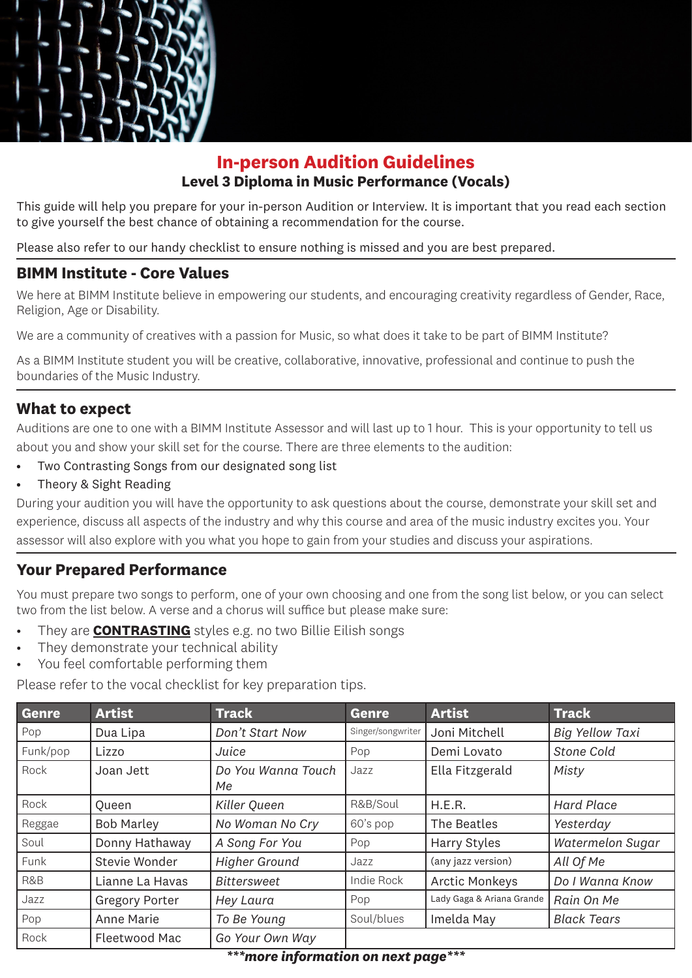

# **In-person Audition Guidelines Level 3 Diploma in Music Performance (Vocals)**

This guide will help you prepare for your in-person Audition or Interview. It is important that you read each section to give yourself the best chance of obtaining a recommendation for the course.

Please also refer to our handy checklist to ensure nothing is missed and you are best prepared.

#### **BIMM Institute - Core Values**

We here at BIMM Institute believe in empowering our students, and encouraging creativity regardless of Gender, Race, Religion, Age or Disability.

We are a community of creatives with a passion for Music, so what does it take to be part of BIMM Institute?

As a BIMM Institute student you will be creative, collaborative, innovative, professional and continue to push the boundaries of the Music Industry.

#### **What to expect**

Auditions are one to one with a BIMM Institute Assessor and will last up to 1 hour. This is your opportunity to tell us about you and show your skill set for the course. There are three elements to the audition:

- Two Contrasting Songs from our designated song list
- Theory & Sight Reading

During your audition you will have the opportunity to ask questions about the course, demonstrate your skill set and experience, discuss all aspects of the industry and why this course and area of the music industry excites you. Your assessor will also explore with you what you hope to gain from your studies and discuss your aspirations.

### **Your Prepared Performance**

You must prepare two songs to perform, one of your own choosing and one from the song list below, or you can select two from the list below. A verse and a chorus will suffice but please make sure:

- They are **CONTRASTING** styles e.g. no two Billie Eilish songs
- They demonstrate your technical ability
- You feel comfortable performing them

Please refer to the vocal checklist for key preparation tips.

| Genre    | <b>Artist</b>         | <b>Track</b>             | <b>Genre</b>      | <b>Artist</b>             | <b>Track</b>           |
|----------|-----------------------|--------------------------|-------------------|---------------------------|------------------------|
| Pop      | Dua Lipa              | Don't Start Now          | Singer/songwriter | Joni Mitchell             | <b>Big Yellow Taxi</b> |
| Funk/pop | Lizzo                 | Juice                    | Pop               | Demi Lovato               | <b>Stone Cold</b>      |
| Rock     | Joan Jett             | Do You Wanna Touch<br>Мe | Jazz              | Ella Fitzgerald           | Misty                  |
| Rock     | <b>Oueen</b>          | Killer Queen             | R&B/Soul          | H.E.R.                    | <b>Hard Place</b>      |
| Reggae   | <b>Bob Marley</b>     | No Woman No Cry          | 60's pop          | The Beatles               | Yesterday              |
| Soul     | Donny Hathaway        | A Song For You           | Pop               | <b>Harry Styles</b>       | Watermelon Sugar       |
| Funk     | Stevie Wonder         | <b>Higher Ground</b>     | Jazz              | (any jazz version)        | All Of Me              |
| R&B      | Lianne La Havas       | <b>Bittersweet</b>       | Indie Rock        | <b>Arctic Monkeys</b>     | Do I Wanna Know        |
| Jazz     | <b>Gregory Porter</b> | Hey Laura                | Pop               | Lady Gaga & Ariana Grande | Rain On Me             |
| Pop      | Anne Marie            | To Be Young              | Soul/blues        | Imelda May                | <b>Black Tears</b>     |
| Rock     | Fleetwood Mac         | Go Your Own Way          |                   |                           |                        |